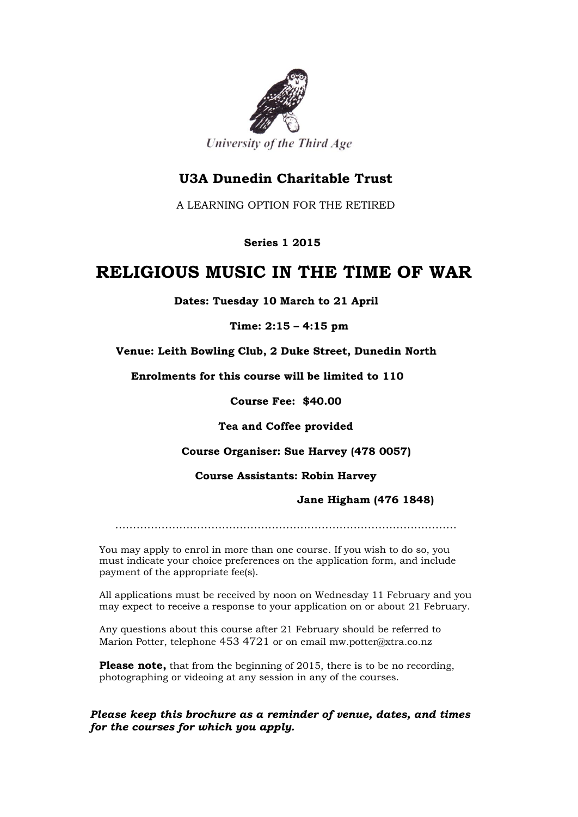

# **U3A Dunedin Charitable Trust**

A LEARNING OPTION FOR THE RETIRED

 **Series 1 2015**

# **RELIGIOUS MUSIC IN THE TIME OF WAR**

 **Dates: Tuesday 10 March to 21 April**

**Time: 2:15 – 4:15 pm**

 **Venue: Leith Bowling Club, 2 Duke Street, Dunedin North**

 **Enrolments for this course will be limited to 110**

**Course Fee: \$40.00**

**Tea and Coffee provided**

## **Course Organiser: Sue Harvey (478 0057)**

#### **Course Assistants: Robin Harvey**

## **Jane Higham (476 1848)**

……………………………………………………………………………………

You may apply to enrol in more than one course. If you wish to do so, you must indicate your choice preferences on the application form, and include payment of the appropriate fee(s).

All applications must be received by noon on Wednesday 11 February and you may expect to receive a response to your application on or about 21 February.

Any questions about this course after 21 February should be referred to Marion Potter, telephone 453 4721 or on email mw.potter@xtra.co.nz

**Please note,** that from the beginning of 2015, there is to be no recording, photographing or videoing at any session in any of the courses.

*Please keep this brochure as a reminder of venue, dates, and times for the courses for which you apply.*